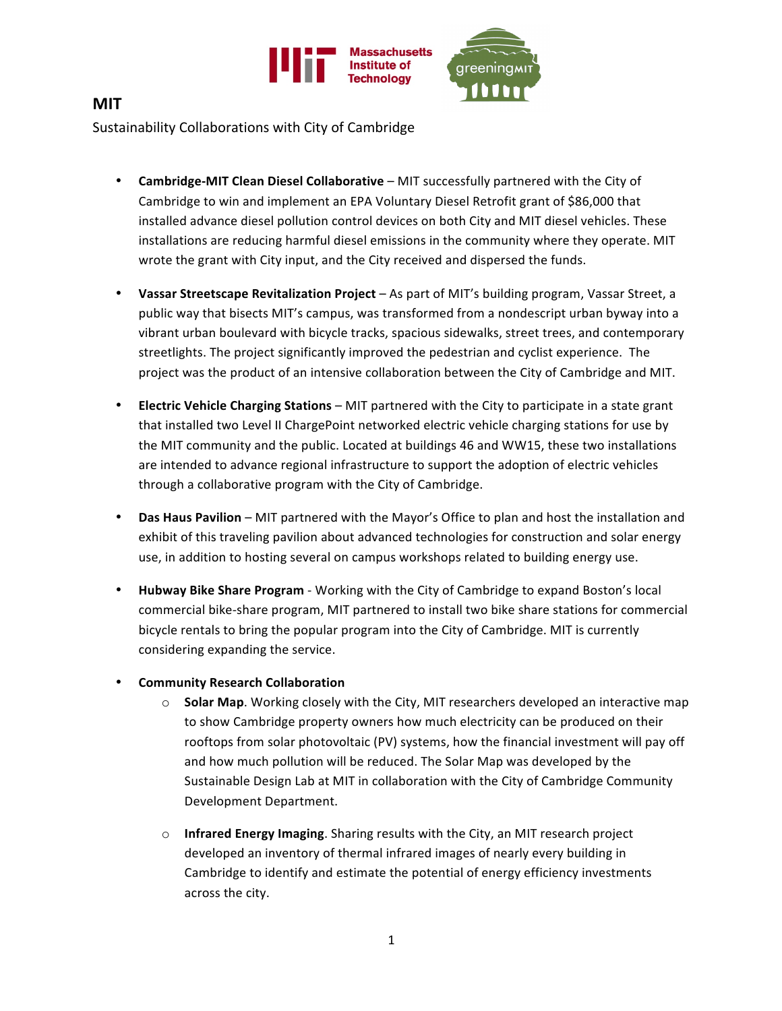

Sustainability Collaborations with City of Cambridge

- **Cambridge-MIT Clean Diesel Collaborative** MIT successfully partnered with the City of Cambridge to win and implement an EPA Voluntary Diesel Retrofit grant of \$86,000 that installed advance diesel pollution control devices on both City and MIT diesel vehicles. These installations are reducing harmful diesel emissions in the community where they operate. MIT wrote the grant with City input, and the City received and dispersed the funds.
- Vassar Streetscape Revitalization Project As part of MIT's building program, Vassar Street, a public way that bisects MIT's campus, was transformed from a nondescript urban byway into a vibrant urban boulevard with bicycle tracks, spacious sidewalks, street trees, and contemporary streetlights. The project significantly improved the pedestrian and cyclist experience. The project was the product of an intensive collaboration between the City of Cambridge and MIT.
- **Electric Vehicle Charging Stations** MIT partnered with the City to participate in a state grant that installed two Level II ChargePoint networked electric vehicle charging stations for use by the MIT community and the public. Located at buildings 46 and WW15, these two installations are intended to advance regional infrastructure to support the adoption of electric vehicles through a collaborative program with the City of Cambridge.
- **Das Haus Pavilion** MIT partnered with the Mayor's Office to plan and host the installation and exhibit of this traveling pavilion about advanced technologies for construction and solar energy use, in addition to hosting several on campus workshops related to building energy use.
- **Hubway Bike Share Program** Working with the City of Cambridge to expand Boston's local commercial bike-share program, MIT partnered to install two bike share stations for commercial bicycle rentals to bring the popular program into the City of Cambridge. MIT is currently considering expanding the service.
- **Community Research Collaboration**
	- $\circ$  **Solar Map**. Working closely with the City, MIT researchers developed an interactive map to show Cambridge property owners how much electricity can be produced on their rooftops from solar photovoltaic (PV) systems, how the financial investment will pay off and how much pollution will be reduced. The Solar Map was developed by the Sustainable Design Lab at MIT in collaboration with the City of Cambridge Community Development Department.
	- o **Infrared Energy Imaging**. Sharing results with the City, an MIT research project developed an inventory of thermal infrared images of nearly every building in Cambridge to identify and estimate the potential of energy efficiency investments across the city.

## **MIT**